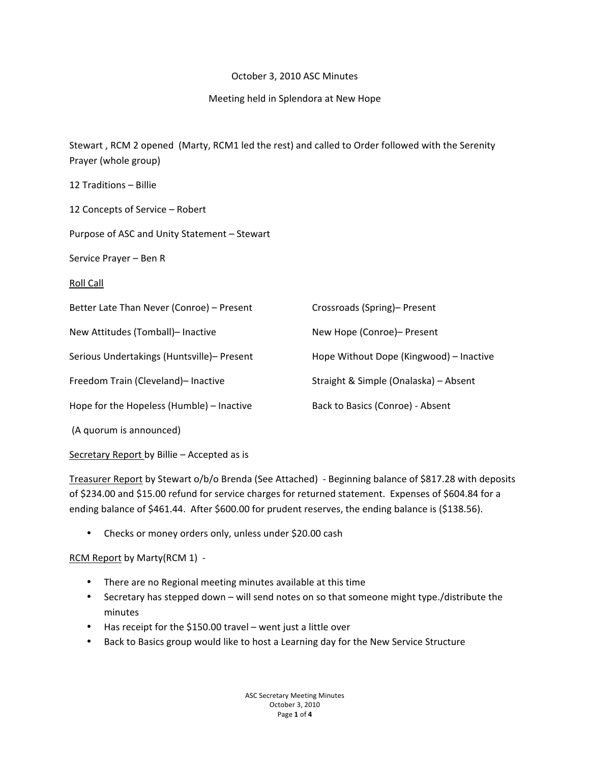### October 3, 2010 ASC Minutes

### Meeting held in Splendora at New Hope

Stewart, RCM 2 opened (Marty, RCM1 led the rest) and called to Order followed with the Serenity Prayer (whole group)

| 12 Traditions - Billie                       |                                         |
|----------------------------------------------|-----------------------------------------|
| 12 Concepts of Service - Robert              |                                         |
| Purpose of ASC and Unity Statement - Stewart |                                         |
| Service Prayer - Ben R                       |                                         |
| <b>Roll Call</b>                             |                                         |
| Better Late Than Never (Conroe) - Present    | Crossroads (Spring)- Present            |
| New Attitudes (Tomball)- Inactive            | New Hope (Conroe)- Present              |
| Serious Undertakings (Huntsville)- Present   | Hope Without Dope (Kingwood) - Inactive |
| Freedom Train (Cleveland)- Inactive          | Straight & Simple (Onalaska) - Absent   |
| Hope for the Hopeless (Humble) - Inactive    | Back to Basics (Conroe) - Absent        |
| (A quorum is announced)                      |                                         |

Secretary Report by Billie – Accepted as is

Treasurer Report by Stewart o/b/o Brenda (See Attached) - Beginning balance of \$817.28 with deposits of \$234.00 and \$15.00 refund for service charges for returned statement. Expenses of \$604.84 for a ending balance of \$461.44. After \$600.00 for prudent reserves, the ending balance is (\$138.56).

• Checks or money orders only, unless under \$20.00 cash

RCM Report by Marty(RCM 1) -

- There are no Regional meeting minutes available at this time
- Secretary has stepped down will send notes on so that someone might type./distribute the minutes
- Has receipt for the \$150.00 travel went just a little over
- Back to Basics group would like to host a Learning day for the New Service Structure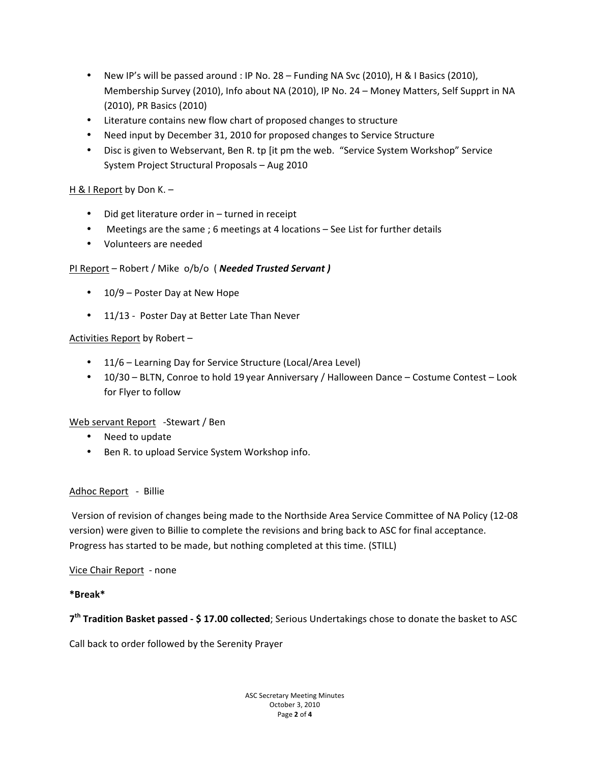- New IP's will be passed around : IP No.  $28$  Funding NA Svc (2010), H & I Basics (2010), Membership Survey (2010), Info about NA (2010), IP No. 24 - Money Matters, Self Supprt in NA (2010), PR Basics (2010)
- Literature contains new flow chart of proposed changes to structure
- Need input by December 31, 2010 for proposed changes to Service Structure
- Disc is given to Webservant, Ben R. tp [it pm the web. "Service System Workshop" Service System Project Structural Proposals – Aug 2010

# H & I Report by Don K. –

- Did get literature order in  $-$  turned in receipt
- Meetings are the same ; 6 meetings at 4 locations See List for further details
- Volunteers are needed

# PI Report – Robert / Mike o/b/o ( **Needed Trusted Servant)**

- $10/9$  Poster Day at New Hope
- 11/13 Poster Day at Better Late Than Never

#### Activities Report by Robert -

- 11/6 Learning Day for Service Structure (Local/Area Level)
- 10/30 BLTN, Conroe to hold 19 year Anniversary / Halloween Dance Costume Contest Look for Flyer to follow

#### Web servant Report -Stewart / Ben

- Need to update
- Ben R. to upload Service System Workshop info.

#### Adhoc Report - Billie

Version of revision of changes being made to the Northside Area Service Committee of NA Policy (12-08 version) were given to Billie to complete the revisions and bring back to ASC for final acceptance. Progress has started to be made, but nothing completed at this time. (STILL)

#### Vice Chair Report - none

#### **\*Break\***

7<sup>th</sup> Tradition Basket passed - \$17.00 collected; Serious Undertakings chose to donate the basket to ASC

Call back to order followed by the Serenity Prayer

ASC Secretary Meeting Minutes October 3, 2010 Page!**2**!of!**4**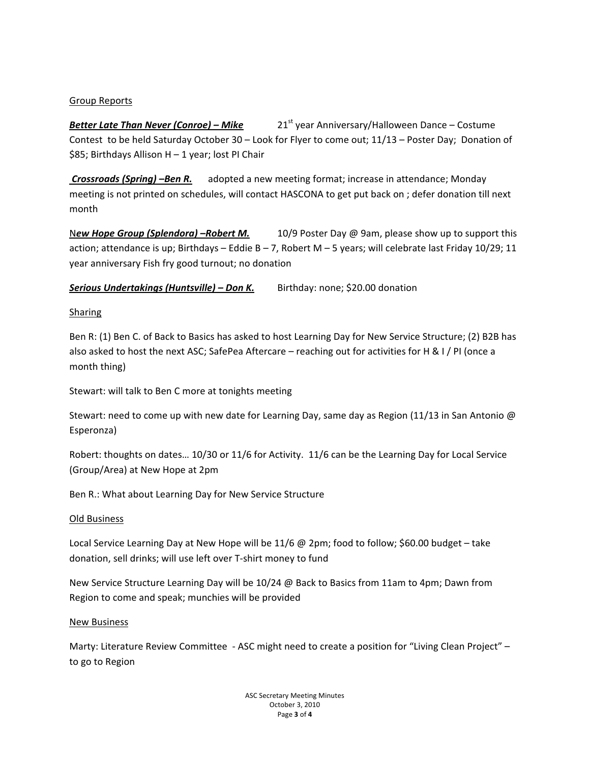### **Group Reports**

21<sup>st</sup> year Anniversary/Halloween Dance - Costume **Better Late Than Never (Conroe) - Mike** Contest to be held Saturday October 30 - Look for Flyer to come out; 11/13 - Poster Day; Donation of \$85; Birthdays Allison H - 1 year; lost PI Chair

adopted a new meeting format; increase in attendance; Monday Crossroads (Spring) -Ben R. meeting is not printed on schedules, will contact HASCONA to get put back on ; defer donation till next month

10/9 Poster Day @ 9am, please show up to support this New Hope Group (Splendora) -Robert M. action; attendance is up; Birthdays - Eddie B - 7, Robert M - 5 years; will celebrate last Friday 10/29; 11 year anniversary Fish fry good turnout; no donation

Birthday: none; \$20.00 donation Serious Undertakings (Huntsville) - Don K.

# **Sharing**

Ben R: (1) Ben C. of Back to Basics has asked to host Learning Day for New Service Structure; (2) B2B has also asked to host the next ASC; SafePea Aftercare - reaching out for activities for H & I / PI (once a month thing)

Stewart: will talk to Ben C more at tonights meeting

Stewart: need to come up with new date for Learning Day, same day as Region (11/13 in San Antonio @ Esperonza)

Robert: thoughts on dates... 10/30 or 11/6 for Activity. 11/6 can be the Learning Day for Local Service (Group/Area) at New Hope at 2pm

Ben R.: What about Learning Day for New Service Structure

#### Old Business

Local Service Learning Day at New Hope will be  $11/6$  @ 2pm; food to follow; \$60.00 budget – take donation, sell drinks; will use left over T-shirt money to fund

New Service Structure Learning Day will be 10/24 @ Back to Basics from 11am to 4pm; Dawn from Region to come and speak; munchies will be provided

#### **New Business**

Marty: Literature Review Committee - ASC might need to create a position for "Living Clean Project" to go to Region

> **ASC Secretary Meeting Minutes** October 3, 2010 Page 3 of 4